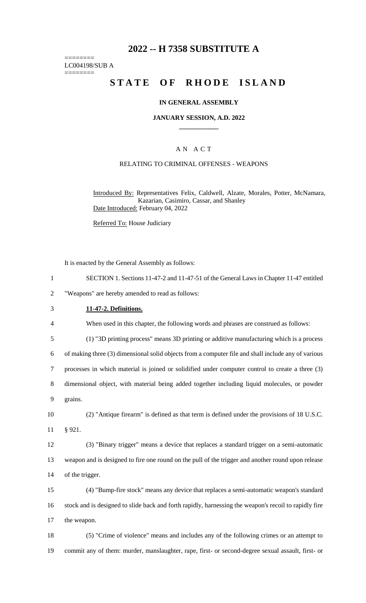## **2022 -- H 7358 SUBSTITUTE A**

======== LC004198/SUB A ========

# **STATE OF RHODE ISLAND**

#### **IN GENERAL ASSEMBLY**

**JANUARY SESSION, A.D. 2022 \_\_\_\_\_\_\_\_\_\_\_\_**

### A N A C T

#### RELATING TO CRIMINAL OFFENSES - WEAPONS

Introduced By: Representatives Felix, Caldwell, Alzate, Morales, Potter, McNamara, Kazarian, Casimiro, Cassar, and Shanley Date Introduced: February 04, 2022

Referred To: House Judiciary

It is enacted by the General Assembly as follows:

1 SECTION 1. Sections 11-47-2 and 11-47-51 of the General Laws in Chapter 11-47 entitled

2 "Weapons" are hereby amended to read as follows:

3 **11-47-2. Definitions.**

4 When used in this chapter, the following words and phrases are construed as follows:

5 (1) "3D printing process" means 3D printing or additive manufacturing which is a process

6 of making three (3) dimensional solid objects from a computer file and shall include any of various

7 processes in which material is joined or solidified under computer control to create a three (3)

8 dimensional object, with material being added together including liquid molecules, or powder

9 grains.

10 (2) "Antique firearm" is defined as that term is defined under the provisions of 18 U.S.C. 11 § 921.

12 (3) "Binary trigger" means a device that replaces a standard trigger on a semi-automatic 13 weapon and is designed to fire one round on the pull of the trigger and another round upon release 14 of the trigger.

15 (4) "Bump-fire stock" means any device that replaces a semi-automatic weapon's standard 16 stock and is designed to slide back and forth rapidly, harnessing the weapon's recoil to rapidly fire 17 the weapon.

18 (5) "Crime of violence" means and includes any of the following crimes or an attempt to 19 commit any of them: murder, manslaughter, rape, first- or second-degree sexual assault, first- or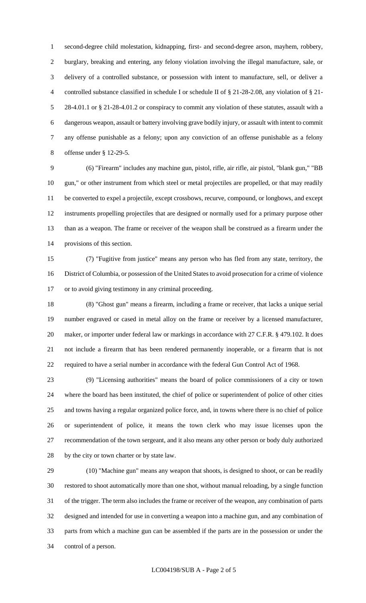second-degree child molestation, kidnapping, first- and second-degree arson, mayhem, robbery, burglary, breaking and entering, any felony violation involving the illegal manufacture, sale, or delivery of a controlled substance, or possession with intent to manufacture, sell, or deliver a controlled substance classified in schedule I or schedule II of § 21-28-2.08, any violation of § 21- 28-4.01.1 or § 21-28-4.01.2 or conspiracy to commit any violation of these statutes, assault with a dangerous weapon, assault or battery involving grave bodily injury, or assault with intent to commit any offense punishable as a felony; upon any conviction of an offense punishable as a felony offense under § 12-29-5.

 (6) "Firearm" includes any machine gun, pistol, rifle, air rifle, air pistol, "blank gun," "BB gun," or other instrument from which steel or metal projectiles are propelled, or that may readily be converted to expel a projectile, except crossbows, recurve, compound, or longbows, and except instruments propelling projectiles that are designed or normally used for a primary purpose other than as a weapon. The frame or receiver of the weapon shall be construed as a firearm under the provisions of this section.

 (7) "Fugitive from justice" means any person who has fled from any state, territory, the District of Columbia, or possession of the United States to avoid prosecution for a crime of violence or to avoid giving testimony in any criminal proceeding.

 (8) "Ghost gun" means a firearm, including a frame or receiver, that lacks a unique serial number engraved or cased in metal alloy on the frame or receiver by a licensed manufacturer, 20 maker, or importer under federal law or markings in accordance with 27 C.F.R. § 479.102. It does not include a firearm that has been rendered permanently inoperable, or a firearm that is not required to have a serial number in accordance with the federal Gun Control Act of 1968.

 (9) "Licensing authorities" means the board of police commissioners of a city or town where the board has been instituted, the chief of police or superintendent of police of other cities and towns having a regular organized police force, and, in towns where there is no chief of police or superintendent of police, it means the town clerk who may issue licenses upon the recommendation of the town sergeant, and it also means any other person or body duly authorized by the city or town charter or by state law.

 (10) "Machine gun" means any weapon that shoots, is designed to shoot, or can be readily restored to shoot automatically more than one shot, without manual reloading, by a single function of the trigger. The term also includes the frame or receiver of the weapon, any combination of parts designed and intended for use in converting a weapon into a machine gun, and any combination of parts from which a machine gun can be assembled if the parts are in the possession or under the control of a person.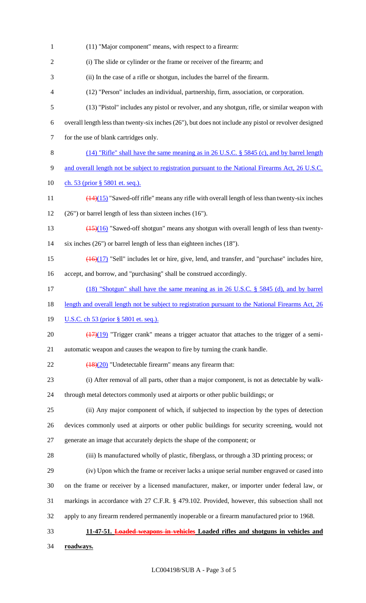(11) "Major component" means, with respect to a firearm: (i) The slide or cylinder or the frame or receiver of the firearm; and (ii) In the case of a rifle or shotgun, includes the barrel of the firearm. (12) "Person" includes an individual, partnership, firm, association, or corporation. (13) "Pistol" includes any pistol or revolver, and any shotgun, rifle, or similar weapon with overall length less than twenty-six inches (26"), but does not include any pistol or revolver designed for the use of blank cartridges only. (14) "Rifle" shall have the same meaning as in 26 U.S.C. § 5845 (c), and by barrel length 9 and overall length not be subject to registration pursuant to the National Firearms Act, 26 U.S.C. 10 ch. 53 (prior § 5801 et. seq.).  $\left(\frac{14}{15}\right)$  "Sawed-off rifle" means any rifle with overall length of less than twenty-six inches (26") or barrel length of less than sixteen inches (16"). 13 (15)(16) "Sawed-off shotgun" means any shotgun with overall length of less than twenty- six inches (26") or barrel length of less than eighteen inches (18").  $\left(\frac{16}{17}\right)$  "Sell" includes let or hire, give, lend, and transfer, and "purchase" includes hire, accept, and borrow, and "purchasing" shall be construed accordingly. (18) "Shotgun" shall have the same meaning as in 26 U.S.C. § 5845 (d), and by barrel 18 length and overall length not be subject to registration pursuant to the National Firearms Act, 26 **U.S.C.** ch 53 (prior § 5801 et. seq.).  $\left(\frac{(17)(19)}{(17)(19)}\right)$  "Trigger crank" means a trigger actuator that attaches to the trigger of a semi- automatic weapon and causes the weapon to fire by turning the crank handle.  $\sqrt{(18)(20)}$  "Undetectable firearm" means any firearm that: (i) After removal of all parts, other than a major component, is not as detectable by walk- through metal detectors commonly used at airports or other public buildings; or (ii) Any major component of which, if subjected to inspection by the types of detection devices commonly used at airports or other public buildings for security screening, would not generate an image that accurately depicts the shape of the component; or (iii) Is manufactured wholly of plastic, fiberglass, or through a 3D printing process; or (iv) Upon which the frame or receiver lacks a unique serial number engraved or cased into on the frame or receiver by a licensed manufacturer, maker, or importer under federal law, or markings in accordance with 27 C.F.R. § 479.102. Provided, however, this subsection shall not apply to any firearm rendered permanently inoperable or a firearm manufactured prior to 1968. **11-47-51. Loaded weapons in vehicles Loaded rifles and shotguns in vehicles and roadways.**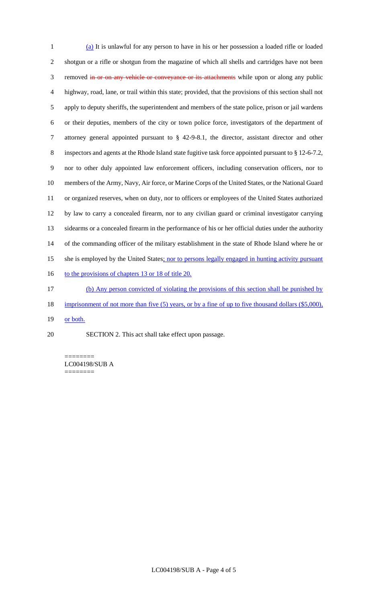(a) It is unlawful for any person to have in his or her possession a loaded rifle or loaded shotgun or a rifle or shotgun from the magazine of which all shells and cartridges have not been 3 removed in or on any vehicle or conveyance or its attachments while upon or along any public highway, road, lane, or trail within this state; provided, that the provisions of this section shall not apply to deputy sheriffs, the superintendent and members of the state police, prison or jail wardens or their deputies, members of the city or town police force, investigators of the department of attorney general appointed pursuant to § 42-9-8.1, the director, assistant director and other inspectors and agents at the Rhode Island state fugitive task force appointed pursuant to § 12-6-7.2, nor to other duly appointed law enforcement officers, including conservation officers, nor to members of the Army, Navy, Air force, or Marine Corps of the United States, or the National Guard or organized reserves, when on duty, nor to officers or employees of the United States authorized by law to carry a concealed firearm, nor to any civilian guard or criminal investigator carrying sidearms or a concealed firearm in the performance of his or her official duties under the authority of the commanding officer of the military establishment in the state of Rhode Island where he or 15 she is employed by the United States; nor to persons legally engaged in hunting activity pursuant 16 to the provisions of chapters 13 or 18 of title 20. (b) Any person convicted of violating the provisions of this section shall be punished by

- 18 imprisonment of not more than five (5) years, or by a fine of up to five thousand dollars (\$5,000),
- 19 or both.
- SECTION 2. This act shall take effect upon passage.

======== LC004198/SUB A ========